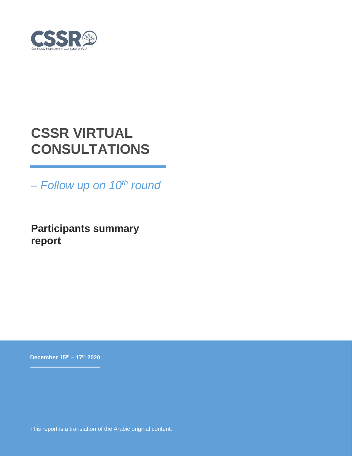

# **CSSR VIRTUAL CONSULTATIONS**

*– Follow up on 10th round*

**Participants summary report**

**December 15th – 17th 2020**

This report is a translation of the Arabic original content.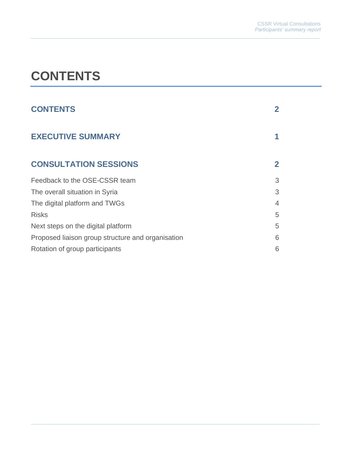# <span id="page-1-0"></span>**CONTENTS**

| <b>CONTENTS</b>                                   |   |
|---------------------------------------------------|---|
| <b>EXECUTIVE SUMMARY</b>                          |   |
| <b>CONSULTATION SESSIONS</b>                      | 2 |
| Feedback to the OSE-CSSR team                     | 3 |
| The overall situation in Syria                    | 3 |
| The digital platform and TWGs                     | 4 |
| <b>Risks</b>                                      | 5 |
| Next steps on the digital platform                | 5 |
| Proposed liaison group structure and organisation | 6 |
| Rotation of group participants                    | 6 |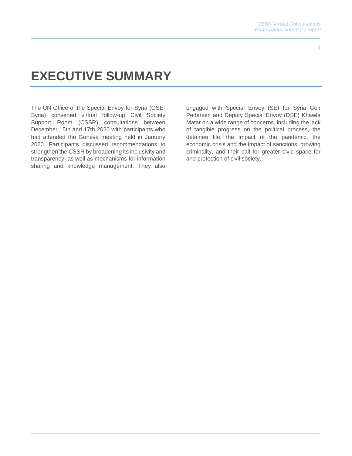# <span id="page-2-0"></span>**EXECUTIVE SUMMARY**

The UN Office of the Special Envoy for Syria (OSE-Syria) convened virtual follow-up Civil Society Support Room (CSSR) consultations between December 15th and 17th 2020 with participants who had attended the Geneva meeting held in January 2020. Participants discussed recommendations to strengthen the CSSR by broadening its inclusivity and transparency, as well as mechanisms for information sharing and knowledge management. They also

engaged with Special Envoy (SE) for Syria Geir Pedersen and Deputy Special Envoy (DSE) Khawla Matar on a wide range of concerns, including the lack of tangible progress on the political process, the detainee file, the impact of the pandemic, the economic crisis and the impact of sanctions, growing criminality, and their call for greater civic space for and protection of civil society.

1 1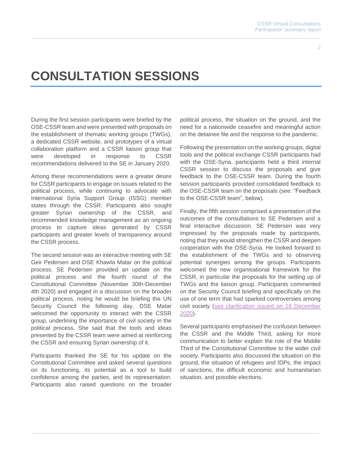# <span id="page-3-0"></span>**CONSULTATION SESSIONS**

During the first session participants were briefed by the OSE-CSSR team and were presented with proposals on the establishment of thematic working groups (TWGs), a dedicated CSSR website, and prototypes of a virtual collaboration platform and a CSSR liaison group that were developed in response to CSSR recommendations delivered to the SE in January 2020.

Among these recommendations were a greater desire for CSSR participants to engage on issues related to the political process, while continuing to advocate with International Syria Support Group (ISSG) member states through the CSSR. Participants also sought greater Syrian ownership of the CSSR, and recommended knowledge management as an ongoing process to capture ideas generated by CSSR participants and greater levels of transparency around the CSSR process.

The second session was an interactive meeting with SE Geir Pedersen and DSE Khawla Matar on the political process. SE Pedersen provided an update on the political process and the fourth round of the Constitutional Committee (November 30th-December 4th 2020) and engaged in a discussion on the broader political process, noting he would be briefing the UN Security Council the following day. DSE Matar welcomed the opportunity to interact with the CSSR group, underlining the importance of civil society in the political process. She said that the tools and ideas presented by the CSSR team were aimed at reinforcing the CSSR and ensuring Syrian ownership of it.

Participants thanked the SE for his update on the Constitutional Committee and asked several questions on its functioning, its potential as a tool to build confidence among the parties, and its representation. Participants also raised questions on the broader political process, the situation on the ground, and the need for a nationwide ceasefire and meaningful action on the detainee file and the response to the pandemic.

Following the presentation on the working groups, digital tools and the political exchange CSSR participants had with the OSE-Syria, participants held a third internal CSSR session to discuss the proposals and give feedback to the OSE-CSSR team. During the fourth session participants provided consolidated feedback to the OSE-CSSR team on the proposals (see: "Feedback to the OSE-CSSR team", below).

Finally, the fifth session comprised a presentation of the outcomes of the consultations to SE Pedersen and a final interactive discussion. SE Pedersen was very impressed by the proposals made by participants, noting that they would strengthen the CSSR and deepen cooperation with the OSE-Syria. He looked forward to the establishment of the TWGs and to observing potential synergies among the groups. Participants welcomed the new organisational framework for the CSSR, in particular the proposals for the setting up of TWGs and the liaison group. Participants commented on the Security Council briefing and specifically on the use of one term that had sparked controversies among civil society [\(see clarification issued on 18 December](https://specialenvoysyria.unmissions.org/clarification-office-special-envoy-syria)  [2020\)](https://specialenvoysyria.unmissions.org/clarification-office-special-envoy-syria).

Several participants emphasised the confusion between the CSSR and the Middle Third, asking for more communication to better explain the role of the Middle Third of the Constitutional Committee to the wider civil society. Participants also discussed the situation on the ground, the situation of refugees and IDPs, the impact of sanctions, the difficult economic and humanitarian situation, and possible elections.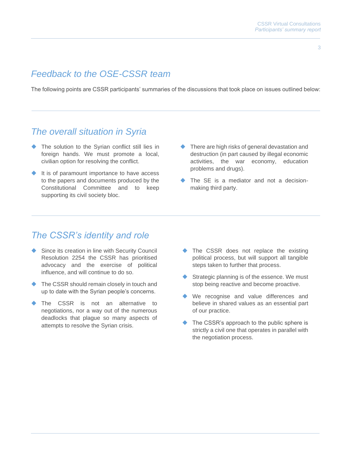#### 3

## <span id="page-4-0"></span>*Feedback to the OSE-CSSR team*

The following points are CSSR participants' summaries of the discussions that took place on issues outlined below:

### <span id="page-4-1"></span>*The overall situation in Syria*

- ◆ The solution to the Syrian conflict still lies in foreign hands. We must promote a local, civilian option for resolving the conflict.
- ◆ It is of paramount importance to have access to the papers and documents produced by the Constitutional Committee and to keep supporting its civil society bloc.
- ◆ There are high risks of general devastation and destruction (in part caused by illegal economic activities, the war economy, education problems and drugs).
- ◆ The SE is a mediator and not a decisionmaking third party.

### *The CSSR's identity and role*

- Since its creation in line with Security Council Resolution 2254 the CSSR has prioritised advocacy and the exercise of political influence, and will continue to do so.
- ◆ The CSSR should remain closely in touch and up to date with the Syrian people's concerns.
- The CSSR is not an alternative to negotiations, nor a way out of the numerous deadlocks that plague so many aspects of attempts to resolve the Syrian crisis.
- ◆ The CSSR does not replace the existing political process, but will support all tangible steps taken to further that process.
- ◆ Strategic planning is of the essence. We must stop being reactive and become proactive.
- ◆ We recognise and value differences and believe in shared values as an essential part of our practice.
- ◆ The CSSR's approach to the public sphere is strictly a civil one that operates in parallel with the negotiation process.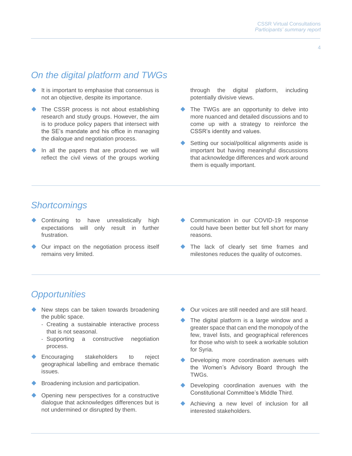# <span id="page-5-0"></span>*On the digital platform and TWGs*

- ◆ It is important to emphasise that consensus is not an objective, despite its importance.
- ◆ The CSSR process is not about establishing research and study groups. However, the aim is to produce policy papers that intersect with the SE's mandate and his office in managing the dialogue and negotiation process.
- In all the papers that are produced we will reflect the civil views of the groups working

through the digital platform, including potentially divisive views.

- ◆ The TWGs are an opportunity to delve into more nuanced and detailed discussions and to come up with a strategy to reinforce the CSSR's identity and values.
- Setting our social/political alignments aside is important but having meaningful discussions that acknowledge differences and work around them is equally important.

## *Shortcomings*

- Continuing to have unrealistically high expectations will only result in further frustration.
- Our impact on the negotiation process itself remains very limited.
- Communication in our COVID-19 response could have been better but fell short for many reasons.
- The lack of clearly set time frames and milestones reduces the quality of outcomes.

## *Opportunities*

- New steps can be taken towards broadening the public space.
	- Creating a sustainable interactive process that is not seasonal.
	- Supporting a constructive negotiation process.
- Encouraging stakeholders to reject geographical labelling and embrace thematic issues.
- Broadening inclusion and participation.
- Opening new perspectives for a constructive dialogue that acknowledges differences but is not undermined or disrupted by them.
- Our voices are still needed and are still heard.
- The digital platform is a large window and a greater space that can end the monopoly of the few, travel lists, and geographical references for those who wish to seek a workable solution for Syria.
- Developing more coordination avenues with the Women's Advisory Board through the TWGs.
- ◆ Developing coordination avenues with the Constitutional Committee's Middle Third.
- Achieving a new level of inclusion for all interested stakeholders.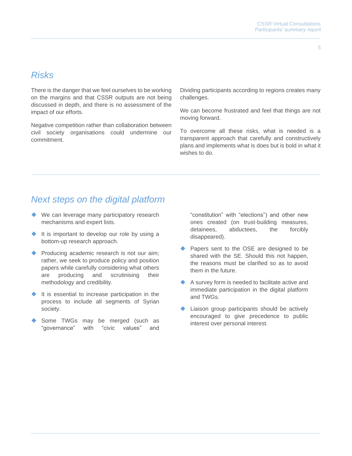5

### <span id="page-6-0"></span>*Risks*

There is the danger that we feel ourselves to be working on the margins and that CSSR outputs are not being discussed in depth, and there is no assessment of the impact of our efforts.

Negative competition rather than collaboration between civil society organisations could undermine our commitment.

Dividing participants according to regions creates many challenges.

We can become frustrated and feel that things are not moving forward.

To overcome all these risks, what is needed is a transparent approach that carefully and constructively plans and implements what is does but is bold in what it wishes to do.

### <span id="page-6-1"></span>*Next steps on the digital platform*

- ◆ We can leverage many participatory research mechanisms and expert lists.
- ◆ It is important to develop our role by using a bottom-up research approach.
- ◆ Producing academic research is not our aim; rather, we seek to produce policy and position papers while carefully considering what others are producing and scrutinising their methodology and credibility.
- It is essential to increase participation in the process to include all segments of Syrian society.
- Some TWGs may be merged (such as "governance" with "civic values" and

"constitution" with "elections") and other new ones created (on trust-building measures, detainees, abductees, the forcibly disappeared).

- Papers sent to the OSE are designed to be shared with the SE. Should this not happen, the reasons must be clarified so as to avoid them in the future.
- A survey form is needed to facilitate active and immediate participation in the digital platform and TWGs.
- Liaison group participants should be actively encouraged to give precedence to public interest over personal interest.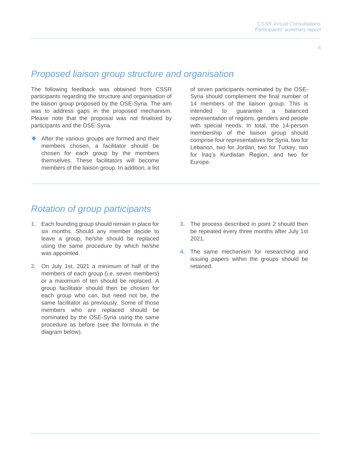#### 6

#### <span id="page-7-0"></span>*Proposed liaison group structure and organisation*

The following feedback was obtained from CSSR participants regarding the structure and organisation of the liaison group proposed by the OSE-Syria. The aim was to address gaps in the proposed mechanism. Please note that the proposal was not finalised by participants and the OSE-Syria.

◆ After the various groups are formed and their members chosen, a facilitator should be chosen for each group by the members themselves. These facilitators will become members of the liaison group. In addition, a list of seven participants nominated by the OSE-Syria should complement the final number of 14 members of the liaison group. This is intended to guarantee a balanced representation of regions, genders and people with special needs. In total, the 14-person membership of the liaison group should comprise four representatives for Syria, two for Lebanon, two for Jordan, two for Turkey, two for Iraq's Kurdistan Region, and two for Europe.

### <span id="page-7-1"></span>*Rotation of group participants*

- **1.** Each founding group should remain in place for six months. Should any member decide to leave a group, he/she should be replaced using the same procedure by which he/she was appointed.
- **2.** On July 1st, 2021 a minimum of half of the members of each group (i.e. seven members) or a maximum of ten should be replaced. A group facilitator should then be chosen for each group who can, but need not be, the same facilitator as previously. Some of those members who are replaced should be nominated by the OSE-Syria using the same procedure as before (see the formula in the diagram below).
- **3.** The process described in point 2 should then be repeated every three months after July 1st 2021.
- **4.** The same mechanism for researching and issuing papers within the groups should be retained.